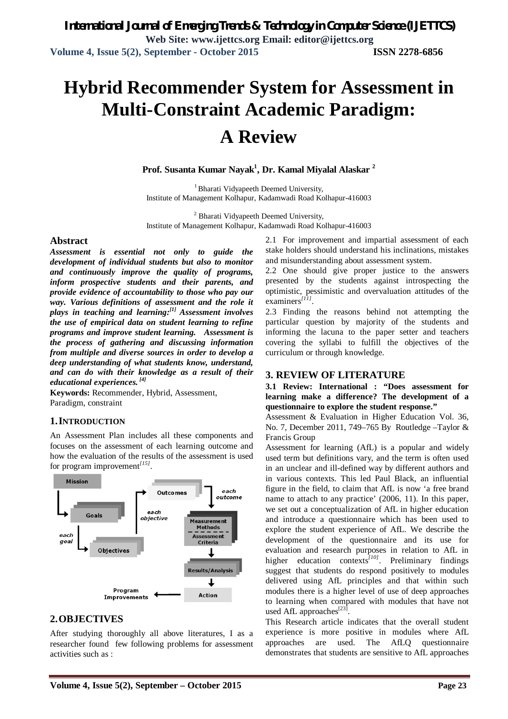# **Hybrid Recommender System for Assessment in Multi-Constraint Academic Paradigm: A Review**

**Prof. Susanta Kumar Nayak<sup>1</sup> , Dr. Kamal Miyalal Alaskar <sup>2</sup>**

<sup>1</sup> Bharati Vidyapeeth Deemed University, Institute of Management Kolhapur, Kadamwadi Road Kolhapur-416003

<sup>2</sup> Bharati Vidyapeeth Deemed University, Institute of Management Kolhapur, Kadamwadi Road Kolhapur-416003

#### **Abstract**

*Assessment is essential not only to guide the development of individual students but also to monitor and continuously improve the quality of programs, inform prospective students and their parents, and provide evidence of accountability to those who pay our way. Various definitions of assessment and the role it plays in teaching and learning: [1] Assessment involves the use of empirical data on student learning to refine programs and improve student learning. Assessment is the process of gathering and discussing information from multiple and diverse sources in order to develop a deep understanding of what students know, understand, and can do with their knowledge as a result of their educational experiences. [4]*

**Keywords:** Recommender, Hybrid, Assessment, Paradigm, constraint

### **1.INTRODUCTION**

An Assessment Plan includes all these components and focuses on the assessment of each learning outcome and how the evaluation of the results of the assessment is used for program improvement*[15]* .



### **2.OBJECTIVES**

After studying thoroughly all above literatures, I as a researcher found few following problems for assessment activities such as :

2.1 For improvement and impartial assessment of each stake holders should understand his inclinations, mistakes and misunderstanding about assessment system.

2.2 One should give proper justice to the answers presented by the students against introspecting the optimistic, pessimistic and overvaluation attitudes of the examiners*[11]* .

2.3 Finding the reasons behind not attempting the particular question by majority of the students and informing the lacuna to the paper setter and teachers covering the syllabi to fulfill the objectives of the curriculum or through knowledge.

#### **3. REVIEW OF LITERATURE**

**3.1 Review: International : "Does assessment for learning make a difference? The development of a questionnaire to explore the student response."**

Assessment & Evaluation in Higher Education Vol. 36, No. 7, December 2011, 749–765 By Routledge –Taylor & Francis Group

Assessment for learning (AfL) is a popular and widely used term but definitions vary, and the term is often used in an unclear and ill-defined way by different authors and in various contexts. This led Paul Black, an influential figure in the field, to claim that AfL is now 'a free brand name to attach to any practice' (2006, 11). In this paper, we set out a conceptualization of AfL in higher education and introduce a questionnaire which has been used to explore the student experience of AfL. We describe the development of the questionnaire and its use for evaluation and research purposes in relation to AfL in higher education contexts*[10]* . Preliminary findings suggest that students do respond positively to modules delivered using AfL principles and that within such modules there is a higher level of use of deep approaches to learning when compared with modules that have not used AfL approaches<sup>[23]</sup>.

This Research article indicates that the overall student experience is more positive in modules where AfL approaches are used. The AfLQ questionnaire demonstrates that students are sensitive to AfL approaches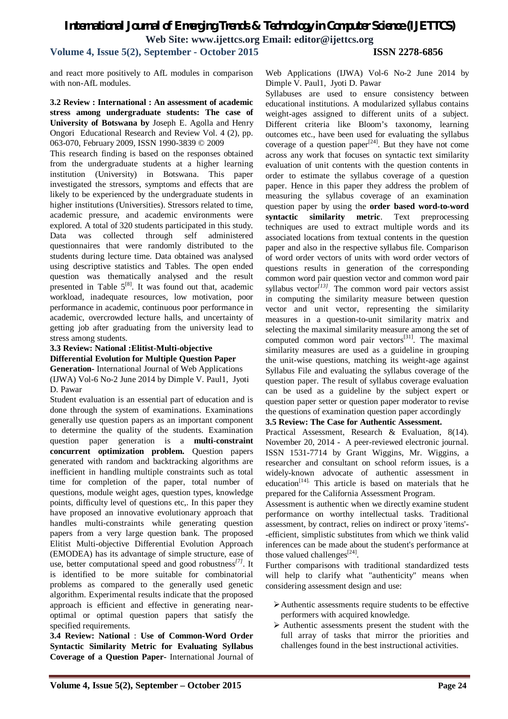**Volume 4, Issue 5(2), September - October 2015 ISSN 2278-6856**

and react more positively to AfL modules in comparison with non-AfL modules.

#### **3.2 Review : International : An assessment of academic stress among undergraduate students: The case of University of Botswana by** Joseph E. Agolla and Henry Ongori Educational Research and Review Vol. 4 (2), pp. 063-070, February 2009, ISSN 1990-3839 © 2009

This research finding is based on the responses obtained from the undergraduate students at a higher learning institution (University) in Botswana. This paper investigated the stressors, symptoms and effects that are likely to be experienced by the undergraduate students in higher institutions (Universities). Stressors related to time, academic pressure, and academic environments were explored. A total of 320 students participated in this study. Data was collected through self administered questionnaires that were randomly distributed to the students during lecture time. Data obtained was analysed using descriptive statistics and Tables. The open ended question was thematically analysed and the result presented in Table  $5^{[8]}$ . It was found out that, academic workload, inadequate resources, low motivation, poor performance in academic, continuous poor performance in academic, overcrowded lecture halls, and uncertainty of getting job after graduating from the university lead to stress among students.

#### **3.3 Review: National :Elitist-Multi-objective Differential Evolution for Multiple Question Paper**

**Generation-** International Journal of Web Applications (IJWA) Vol-6 No-2 June 2014 by Dimple V. Paul1, Jyoti D. Pawar

Student evaluation is an essential part of education and is done through the system of examinations. Examinations generally use question papers as an important component to determine the quality of the students. Examination question paper generation is a **multi-constraint concurrent optimization problem.** Question papers generated with random and backtracking algorithms are inefficient in handling multiple constraints such as total time for completion of the paper, total number of questions, module weight ages, question types, knowledge points, difficulty level of questions etc,. In this paper they have proposed an innovative evolutionary approach that handles multi-constraints while generating question papers from a very large question bank. The proposed Elitist Multi-objective Differential Evolution Approach (EMODEA) has its advantage of simple structure, ease of use, better computational speed and good robustness*[7]* . It is identified to be more suitable for combinatorial problems as compared to the generally used genetic algorithm. Experimental results indicate that the proposed approach is efficient and effective in generating nearoptimal or optimal question papers that satisfy the specified requirements.

**3.4 Review: National** : **Use of Common-Word Order Syntactic Similarity Metric for Evaluating Syllabus Coverage of a Question Paper-** International Journal of Web Applications (IJWA) Vol-6 No-2 June 2014 by Dimple V. Paul1, Jyoti D. Pawar

Syllabuses are used to ensure consistency between educational institutions. A modularized syllabus contains weight-ages assigned to different units of a subject. Different criteria like Bloom's taxonomy, learning outcomes etc., have been used for evaluating the syllabus coverage of a question paper $[24]$ . But they have not come across any work that focuses on syntactic text similarity evaluation of unit contents with the question contents in order to estimate the syllabus coverage of a question paper. Hence in this paper they address the problem of measuring the syllabus coverage of an examination question paper by using the **order based word-to-word syntactic similarity metric**. Text preprocessing techniques are used to extract multiple words and its associated locations from textual contents in the question paper and also in the respective syllabus file. Comparison of word order vectors of units with word order vectors of questions results in generation of the corresponding common word pair question vector and common word pair syllabus vector<sup>[13]</sup>. The common word pair vectors assist in computing the similarity measure between question vector and unit vector, representing the similarity measures in a question-to-unit similarity matrix and selecting the maximal similarity measure among the set of computed common word pair vectors $^{[31]}$ . The maximal similarity measures are used as a guideline in grouping the unit-wise questions, matching its weight-age against Syllabus File and evaluating the syllabus coverage of the question paper. The result of syllabus coverage evaluation can be used as a guideline by the subject expert or question paper setter or question paper moderator to revise the questions of examination question paper accordingly

#### **3.5 Review: The Case for Authentic Assessment.**

Practical Assessment, Research & Evaluation, 8(14). November 20, 2014 - A peer-reviewed electronic journal. ISSN 1531-7714 by Grant Wiggins, Mr. Wiggins, a researcher and consultant on school reform issues, is a widely-known advocate of authentic assessment in education<sup>[14].</sup> This article is based on materials that he prepared for the California Assessment Program.

Assessment is authentic when we directly examine student performance on worthy intellectual tasks. Traditional assessment, by contract, relies on indirect or proxy 'items'- -efficient, simplistic substitutes from which we think valid inferences can be made about the student's performance at those valued challenges $^{[24]}$ .

Further comparisons with traditional standardized tests will help to clarify what "authenticity" means when considering assessment design and use:

- Authentic assessments require students to be effective performers with acquired knowledge.
- $\triangleright$  Authentic assessments present the student with the full array of tasks that mirror the priorities and challenges found in the best instructional activities.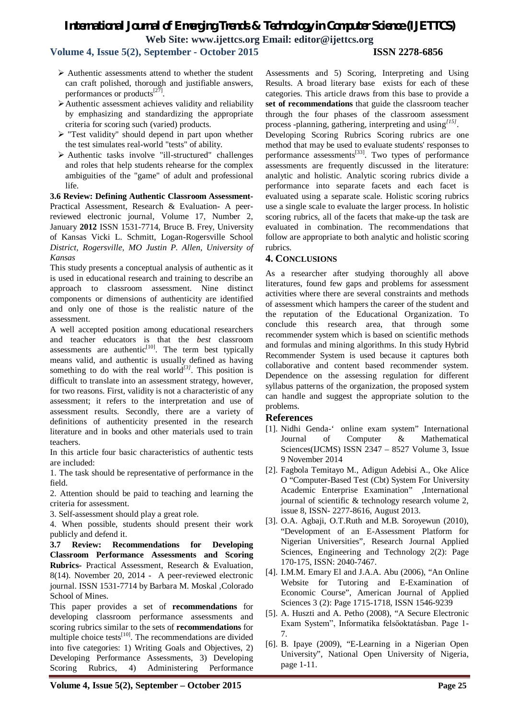**Volume 4, Issue 5(2), September - October 2015 ISSN 2278-6856**

- $\triangleright$  Authentic assessments attend to whether the student can craft polished, thorough and justifiable answers, performances or products<sup>[27]</sup>.
- Authentic assessment achieves validity and reliability by emphasizing and standardizing the appropriate criteria for scoring such (varied) products.
- $\triangleright$  "Test validity" should depend in part upon whether the test simulates real-world "tests" of ability.
- $\triangleright$  Authentic tasks involve "ill-structured" challenges and roles that help students rehearse for the complex ambiguities of the "game" of adult and professional life.

**3.6 Review: Defining Authentic Classroom Assessment-**Practical Assessment, Research & Evaluation- A peerreviewed electronic journal, Volume 17, Number 2, January **2012** ISSN 1531-7714, Bruce B. Frey, University of Kansas Vicki L. Schmitt, Logan-Rogersville School *District, Rogersville, MO Justin P. Allen, University of Kansas*

This study presents a conceptual analysis of authentic as it is used in educational research and training to describe an approach to classroom assessment. Nine distinct components or dimensions of authenticity are identified and only one of those is the realistic nature of the assessment.

A well accepted position among educational researchers and teacher educators is that the *best* classroom assessments are authentic $[10]$ . The term best typically means valid, and authentic is usually defined as having something to do with the real world<sup>[3]</sup>. This position is difficult to translate into an assessment strategy, however, for two reasons. First, validity is not a characteristic of any assessment; it refers to the interpretation and use of assessment results. Secondly, there are a variety of definitions of authenticity presented in the research literature and in books and other materials used to train teachers.

In this article four basic characteristics of authentic tests are included:

1. The task should be representative of performance in the field.

2. Attention should be paid to teaching and learning the criteria for assessment.

3. Self-assessment should play a great role.

4. When possible, students should present their work publicly and defend it.

**3.7 Review: Recommendations for Developing Classroom Performance Assessments and Scoring Rubrics-** Practical Assessment, Research & Evaluation, 8(14). November 20, 2014 - A peer-reviewed electronic journal. ISSN 1531-7714 by Barbara M. Moskal ,Colorado School of Mines.

This paper provides a set of **recommendations** for developing classroom performance assessments and scoring rubrics similar to the sets of **recommendations** for multiple choice tests<sup>[10]</sup>. The recommendations are divided into five categories: 1) Writing Goals and Objectives, 2) Developing Performance Assessments, 3) Developing Scoring Rubrics, 4) Administering Performance Assessments and 5) Scoring, Interpreting and Using Results. A broad literary base exists for each of these categories. This article draws from this base to provide a **set of recommendations** that guide the classroom teacher through the four phases of the classroom assessment process -planning, gathering, interpreting and using*[15]* .

Developing Scoring Rubrics Scoring rubrics are one method that may be used to evaluate students' responses to performance assessments $^{[33]}$ . Two types of performance assessments are frequently discussed in the literature: analytic and holistic. Analytic scoring rubrics divide a performance into separate facets and each facet is evaluated using a separate scale. Holistic scoring rubrics use a single scale to evaluate the larger process. In holistic scoring rubrics, all of the facets that make-up the task are evaluated in combination. The recommendations that follow are appropriate to both analytic and holistic scoring rubrics.

#### **4. CONCLUSIONS**

As a researcher after studying thoroughly all above literatures, found few gaps and problems for assessment activities where there are several constraints and methods of assessment which hampers the career of the student and the reputation of the Educational Organization. To conclude this research area, that through some recommender system which is based on scientific methods and formulas and mining algorithms. In this study Hybrid Recommender System is used because it captures both collaborative and content based recommender system. Dependence on the assessing regulation for different syllabus patterns of the organization, the proposed system can handle and suggest the appropriate solution to the problems.

#### **References**

- [1]. Nidhi Genda-' online exam system" International Journal of Computer & Mathematical Sciences(IJCMS) ISSN 2347 – 8527 Volume 3, Issue 9 November 2014
- [2]. Fagbola Temitayo M., Adigun Adebisi A., Oke Alice O "Computer-Based Test (Cbt) System For University Academic Enterprise Examination" ,International journal of scientific & technology research volume 2, issue 8, ISSN- 2277-8616, August 2013.
- [3]. O.A. Agbaji, O.T.Ruth and M.B. Soroyewun (2010), "Development of an E-Assessment Platform for Nigerian Universities", Research Journal Applied Sciences, Engineering and Technology 2(2): Page 170-175, ISSN: 2040-7467.
- [4]. I.M.M. Emary El and J.A.A. Abu (2006), "An Online Website for Tutoring and E-Examination of Economic Course", American Journal of Applied Sciences 3 (2): Page 1715-1718, ISSN 1546-9239
- [5]. A. Huszti and A. Petho (2008), "A Secure Electronic Exam System", Informatika felsőoktatásban. Page 1- 7.
- [6]. B. Ipaye (2009), "E-Learning in a Nigerian Open University", National Open University of Nigeria, page 1-11.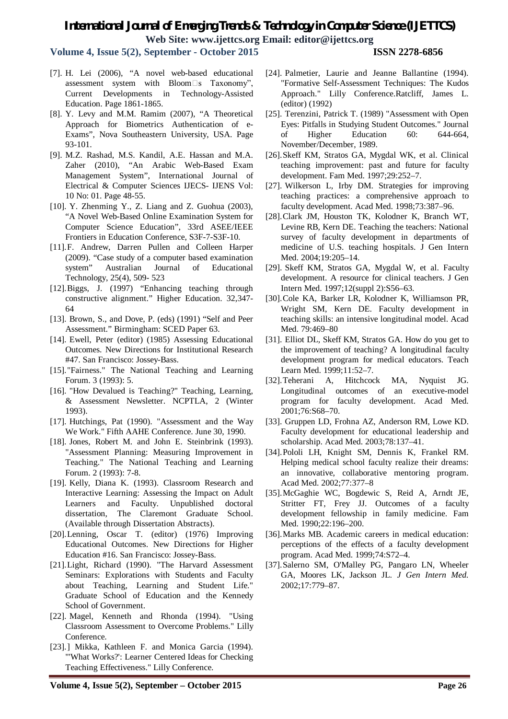**Volume 4, Issue 5(2), September - October 2015 ISSN 2278-6856**

- [7]. H. Lei (2006), "A novel web-based educational assessment system with Bloom $\square$ s Taxonomy", Current Developments in Technology-Assisted Education. Page 1861-1865.
- [8]. Y. Levy and M.M. Ramim (2007), "A Theoretical Approach for Biometrics Authentication of e-Exams", Nova Southeastern University, USA. Page 93-101.
- [9]. M.Z. Rashad, M.S. Kandil, A.E. Hassan and M.A. Zaher (2010), "An Arabic Web-Based Exam Management System", International Journal of Electrical & Computer Sciences IJECS- IJENS Vol: 10 No: 01. Page 48-55.
- [10]. Y. Zhenming Y., Z. Liang and Z. Guohua (2003), "A Novel Web-Based Online Examination System for Computer Science Education", 33rd ASEE/IEEE Frontiers in Education Conference, S3F-7-S3F-10.
- [11].F. Andrew, Darren Pullen and Colleen Harper (2009). "Case study of a computer based examination system" Australian Journal of Educational Technology, 25(4), 509- 523
- [12].Biggs, J. (1997) "Enhancing teaching through constructive alignment." Higher Education. 32,347- 64
- [13]. Brown, S., and Dove, P. (eds) (1991) "Self and Peer Assessment." Birmingham: SCED Paper 63.
- [14]. Ewell, Peter (editor) (1985) Assessing Educational Outcomes. New Directions for Institutional Research #47. San Francisco: Jossey-Bass.
- [15]."Fairness." The National Teaching and Learning Forum. 3 (1993): 5.
- [16]. "How Devalued is Teaching?" Teaching, Learning, & Assessment Newsletter. NCPTLA, 2 (Winter 1993).
- [17]. Hutchings, Pat (1990). "Assessment and the Way We Work." Fifth AAHE Conference. June 30, 1990.
- [18]. Jones, Robert M. and John E. Steinbrink (1993). "Assessment Planning: Measuring Improvement in Teaching." The National Teaching and Learning Forum. 2 (1993): 7-8.
- [19]. Kelly, Diana K. (1993). Classroom Research and Interactive Learning: Assessing the Impact on Adult Learners and Faculty. Unpublished doctoral dissertation, The Claremont Graduate School. (Available through Dissertation Abstracts).
- [20].Lenning, Oscar T. (editor) (1976) Improving Educational Outcomes. New Directions for Higher Education #16. San Francisco: Jossey-Bass.
- [21].Light, Richard (1990). "The Harvard Assessment Seminars: Explorations with Students and Faculty about Teaching, Learning and Student Life." Graduate School of Education and the Kennedy School of Government.
- [22]. Magel, Kenneth and Rhonda (1994). "Using Classroom Assessment to Overcome Problems." Lilly Conference.
- [23].] Mikka, Kathleen F. and Monica Garcia (1994). "'What Works?': Learner Centered Ideas for Checking Teaching Effectiveness." Lilly Conference.
- [24]. Palmetier, Laurie and Jeanne Ballantine (1994). "Formative Self-Assessment Techniques: The Kudos Approach." Lilly Conference.Ratcliff, James L. (editor) (1992)
- [25]. Terenzini, Patrick T. (1989) "Assessment with Open Eyes: Pitfalls in Studying Student Outcomes." Journal of Higher Education 60: 644-664, November/December, 1989.
- [26].Skeff KM, Stratos GA, Mygdal WK, et al. Clinical teaching improvement: past and future for faculty development. Fam Med. 1997;29:252–7.
- [27]. Wilkerson L, Irby DM. Strategies for improving teaching practices: a comprehensive approach to faculty development. Acad Med. 1998;73:387–96.
- [28].Clark JM, Houston TK, Kolodner K, Branch WT, Levine RB, Kern DE. Teaching the teachers: National survey of faculty development in departments of medicine of U.S. teaching hospitals. J Gen Intern Med. 2004;19:205–14.
- [29]. Skeff KM, Stratos GA, Mygdal W, et al. Faculty development. A resource for clinical teachers. J Gen Intern Med. 1997;12(suppl 2):S56–63.
- [30].Cole KA, Barker LR, Kolodner K, Williamson PR, Wright SM, Kern DE. Faculty development in teaching skills: an intensive longitudinal model. Acad Med. 79:469–80
- [31]. Elliot DL, Skeff KM, Stratos GA. How do you get to the improvement of teaching? A longitudinal faculty development program for medical educators. Teach Learn Med. 1999;11:52–7.
- [32].Teherani A, Hitchcock MA, Nyquist JG. Longitudinal outcomes of an executive-model program for faculty development. Acad Med. 2001;76:S68–70.
- [33]. Gruppen LD, Frohna AZ, Anderson RM, Lowe KD. Faculty development for educational leadership and scholarship. Acad Med. 2003;78:137–41.
- [34].Pololi LH, Knight SM, Dennis K, Frankel RM. Helping medical school faculty realize their dreams: an innovative, collaborative mentoring program. Acad Med. 2002;77:377–8
- [35].McGaghie WC, Bogdewic S, Reid A, Arndt JE, Stritter FT, Frey JJ. Outcomes of a faculty development fellowship in family medicine. Fam Med. 1990;22:196–200.
- [36].Marks MB. Academic careers in medical education: perceptions of the effects of a faculty development program. Acad Med. 1999;74:S72–4.
- [37].Salerno SM, O'Malley PG, Pangaro LN, Wheeler GA, Moores LK, Jackson JL. *J Gen Intern Med.*  2002;17:779–87.